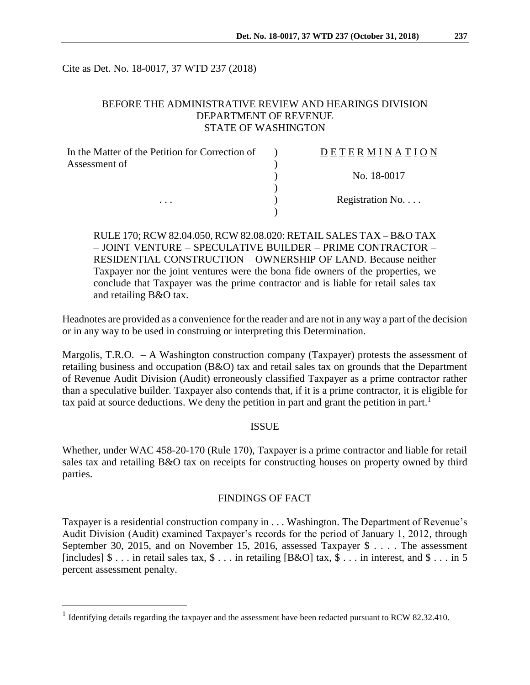Cite as Det. No. 18-0017, 37 WTD 237 (2018)

# BEFORE THE ADMINISTRATIVE REVIEW AND HEARINGS DIVISION DEPARTMENT OF REVENUE STATE OF WASHINGTON

| In the Matter of the Petition for Correction of | DETERMINATION            |
|-------------------------------------------------|--------------------------|
| Assessment of                                   |                          |
|                                                 | No. 18-0017              |
|                                                 |                          |
| $\cdots$                                        | Registration No. $\dots$ |
|                                                 |                          |

RULE 170; RCW 82.04.050, RCW 82.08.020: RETAIL SALES TAX – B&O TAX – JOINT VENTURE – SPECULATIVE BUILDER – PRIME CONTRACTOR – RESIDENTIAL CONSTRUCTION – OWNERSHIP OF LAND. Because neither Taxpayer nor the joint ventures were the bona fide owners of the properties, we conclude that Taxpayer was the prime contractor and is liable for retail sales tax and retailing B&O tax.

Headnotes are provided as a convenience for the reader and are not in any way a part of the decision or in any way to be used in construing or interpreting this Determination.

Margolis, T.R.O. – A Washington construction company (Taxpayer) protests the assessment of retailing business and occupation (B&O) tax and retail sales tax on grounds that the Department of Revenue Audit Division (Audit) erroneously classified Taxpayer as a prime contractor rather than a speculative builder. Taxpayer also contends that, if it is a prime contractor, it is eligible for tax paid at source deductions. We deny the petition in part and grant the petition in part.<sup>1</sup>

#### ISSUE

Whether, under WAC 458-20-170 (Rule 170), Taxpayer is a prime contractor and liable for retail sales tax and retailing B&O tax on receipts for constructing houses on property owned by third parties.

## FINDINGS OF FACT

Taxpayer is a residential construction company in . . . Washington. The Department of Revenue's Audit Division (Audit) examined Taxpayer's records for the period of January 1, 2012, through September 30, 2015, and on November 15, 2016, assessed Taxpayer \$ . . . . The assessment [includes]  $\$\dots$  in retail sales tax,  $\$\dots$  in retailing [B&O] tax,  $\$\dots$  in interest, and  $\$\dots$  in 5 percent assessment penalty.

 $\overline{a}$ 

<sup>&</sup>lt;sup>1</sup> Identifying details regarding the taxpayer and the assessment have been redacted pursuant to RCW 82.32.410.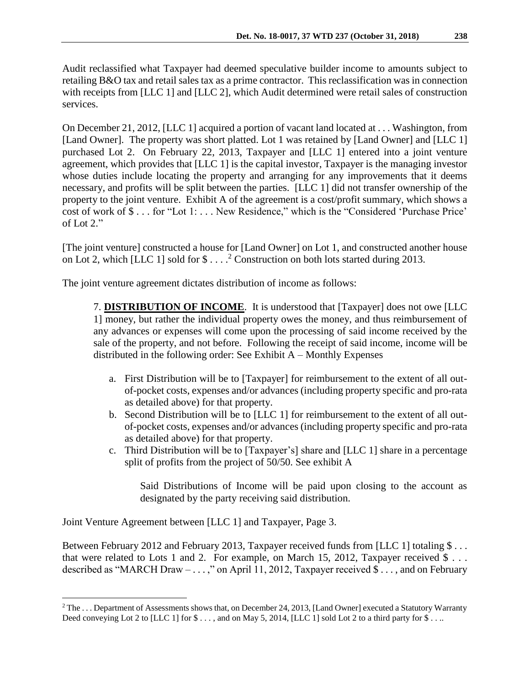Audit reclassified what Taxpayer had deemed speculative builder income to amounts subject to retailing B&O tax and retail sales tax as a prime contractor. This reclassification was in connection with receipts from [LLC 1] and [LLC 2], which Audit determined were retail sales of construction services.

On December 21, 2012, [LLC 1] acquired a portion of vacant land located at . . . Washington, from [Land Owner]. The property was short platted. Lot 1 was retained by [Land Owner] and [LLC 1] purchased Lot 2. On February 22, 2013, Taxpayer and [LLC 1] entered into a joint venture agreement, which provides that [LLC 1] is the capital investor, Taxpayer is the managing investor whose duties include locating the property and arranging for any improvements that it deems necessary, and profits will be split between the parties. [LLC 1] did not transfer ownership of the property to the joint venture. Exhibit A of the agreement is a cost/profit summary, which shows a cost of work of \$ . . . for "Lot 1: . . . New Residence," which is the "Considered 'Purchase Price' of Lot 2."

[The joint venture] constructed a house for [Land Owner] on Lot 1, and constructed another house on Lot 2, which [LLC 1] sold for  $\$\dots$ <sup>2</sup> Construction on both lots started during 2013.

The joint venture agreement dictates distribution of income as follows:

7. **DISTRIBUTION OF INCOME**. It is understood that [Taxpayer] does not owe [LLC 1] money, but rather the individual property owes the money, and thus reimbursement of any advances or expenses will come upon the processing of said income received by the sale of the property, and not before. Following the receipt of said income, income will be distributed in the following order: See Exhibit A – Monthly Expenses

- a. First Distribution will be to [Taxpayer] for reimbursement to the extent of all outof-pocket costs, expenses and/or advances (including property specific and pro-rata as detailed above) for that property.
- b. Second Distribution will be to [LLC 1] for reimbursement to the extent of all outof-pocket costs, expenses and/or advances (including property specific and pro-rata as detailed above) for that property.
- c. Third Distribution will be to [Taxpayer's] share and [LLC 1] share in a percentage split of profits from the project of 50/50. See exhibit A

Said Distributions of Income will be paid upon closing to the account as designated by the party receiving said distribution.

Joint Venture Agreement between [LLC 1] and Taxpayer, Page 3.

 $\overline{a}$ 

Between February 2012 and February 2013, Taxpayer received funds from [LLC 1] totaling \$... that were related to Lots 1 and 2. For example, on March 15, 2012, Taxpayer received  $\$\dots$ described as "MARCH Draw  $- \ldots$ ," on April 11, 2012, Taxpayer received \$ . . . , and on February

<sup>&</sup>lt;sup>2</sup> The ... Department of Assessments shows that, on December 24, 2013, [Land Owner] executed a Statutory Warranty Deed conveying Lot 2 to [LLC 1] for  $\$\ldots$$ , and on May 5, 2014, [LLC 1] sold Lot 2 to a third party for  $\$\ldots$ .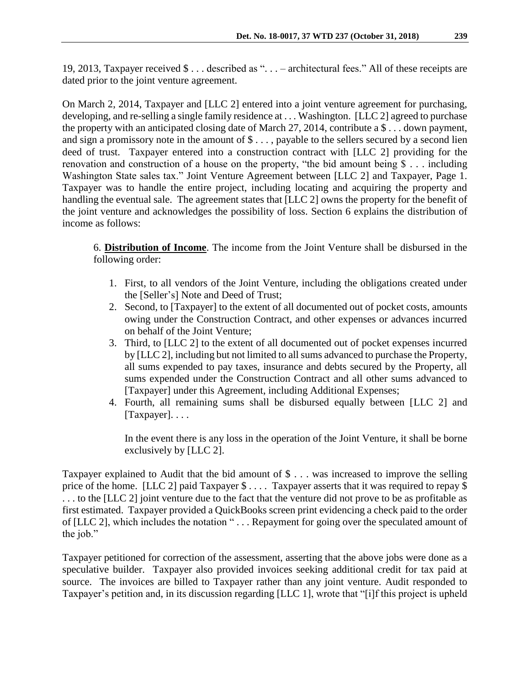19, 2013, Taxpayer received \$ . . . described as ". . . – architectural fees." All of these receipts are dated prior to the joint venture agreement.

On March 2, 2014, Taxpayer and [LLC 2] entered into a joint venture agreement for purchasing, developing, and re-selling a single family residence at . . . Washington. [LLC 2] agreed to purchase the property with an anticipated closing date of March 27, 2014, contribute a \$ . . . down payment, and sign a promissory note in the amount of  $\$\dots$ , payable to the sellers secured by a second lien deed of trust. Taxpayer entered into a construction contract with [LLC 2] providing for the renovation and construction of a house on the property, "the bid amount being \$ . . . including Washington State sales tax." Joint Venture Agreement between [LLC 2] and Taxpayer, Page 1. Taxpayer was to handle the entire project, including locating and acquiring the property and handling the eventual sale. The agreement states that [LLC 2] owns the property for the benefit of the joint venture and acknowledges the possibility of loss. Section 6 explains the distribution of income as follows:

6. **Distribution of Income**. The income from the Joint Venture shall be disbursed in the following order:

- 1. First, to all vendors of the Joint Venture, including the obligations created under the [Seller's] Note and Deed of Trust;
- 2. Second, to [Taxpayer] to the extent of all documented out of pocket costs, amounts owing under the Construction Contract, and other expenses or advances incurred on behalf of the Joint Venture;
- 3. Third, to [LLC 2] to the extent of all documented out of pocket expenses incurred by [LLC 2], including but not limited to all sums advanced to purchase the Property, all sums expended to pay taxes, insurance and debts secured by the Property, all sums expended under the Construction Contract and all other sums advanced to [Taxpayer] under this Agreement, including Additional Expenses;
- 4. Fourth, all remaining sums shall be disbursed equally between [LLC 2] and [Taxpayer]....

In the event there is any loss in the operation of the Joint Venture, it shall be borne exclusively by [LLC 2].

Taxpayer explained to Audit that the bid amount of \$ . . . was increased to improve the selling price of the home. [LLC 2] paid Taxpayer  $\frac{1}{2}$ ... Taxpayer asserts that it was required to repay  $\frac{1}{2}$ . . . to the [LLC 2] joint venture due to the fact that the venture did not prove to be as profitable as first estimated. Taxpayer provided a QuickBooks screen print evidencing a check paid to the order of [LLC 2], which includes the notation " . . . Repayment for going over the speculated amount of the job."

Taxpayer petitioned for correction of the assessment, asserting that the above jobs were done as a speculative builder. Taxpayer also provided invoices seeking additional credit for tax paid at source. The invoices are billed to Taxpayer rather than any joint venture. Audit responded to Taxpayer's petition and, in its discussion regarding [LLC 1], wrote that "[i]f this project is upheld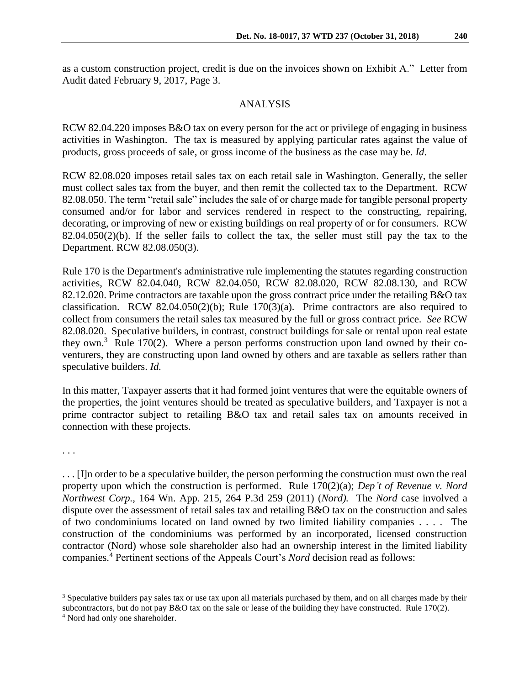as a custom construction project, credit is due on the invoices shown on Exhibit A." Letter from Audit dated February 9, 2017, Page 3.

### ANALYSIS

RCW 82.04.220 imposes B&O tax on every person for the act or privilege of engaging in business activities in Washington. The tax is measured by applying particular rates against the value of products, gross proceeds of sale, or gross income of the business as the case may be. *Id*.

RCW 82.08.020 imposes retail sales tax on each retail sale in Washington. Generally, the seller must collect sales tax from the buyer, and then remit the collected tax to the Department. RCW 82.08.050. The term "retail sale" includes the sale of or charge made for tangible personal property consumed and/or for labor and services rendered in respect to the constructing, repairing, decorating, or improving of new or existing buildings on real property of or for consumers. RCW 82.04.050(2)(b). If the seller fails to collect the tax, the seller must still pay the tax to the Department. RCW 82.08.050(3).

Rule 170 is the Department's administrative rule implementing the statutes regarding construction activities, RCW 82.04.040, RCW 82.04.050, RCW 82.08.020, RCW 82.08.130, and RCW 82.12.020. Prime contractors are taxable upon the gross contract price under the retailing B&O tax classification. RCW 82.04.050(2)(b); Rule  $170(3)(a)$ . Prime contractors are also required to collect from consumers the retail sales tax measured by the full or gross contract price. *See* RCW 82.08.020. Speculative builders, in contrast, construct buildings for sale or rental upon real estate they own.<sup>3</sup> Rule 170(2). Where a person performs construction upon land owned by their coventurers, they are constructing upon land owned by others and are taxable as sellers rather than speculative builders. *Id.*

In this matter, Taxpayer asserts that it had formed joint ventures that were the equitable owners of the properties, the joint ventures should be treated as speculative builders, and Taxpayer is not a prime contractor subject to retailing B&O tax and retail sales tax on amounts received in connection with these projects.

. . .

 $\overline{a}$ 

. . . [I]n order to be a speculative builder, the person performing the construction must own the real property upon which the construction is performed. Rule 170(2)(a); *Dep't of Revenue v. Nord Northwest Corp.*, 164 Wn. App. 215, 264 P.3d 259 (2011) (*Nord).* The *Nord* case involved a dispute over the assessment of retail sales tax and retailing B&O tax on the construction and sales of two condominiums located on land owned by two limited liability companies . . . . The construction of the condominiums was performed by an incorporated, licensed construction contractor (Nord) whose sole shareholder also had an ownership interest in the limited liability companies.<sup>4</sup> Pertinent sections of the Appeals Court's *Nord* decision read as follows:

<sup>&</sup>lt;sup>3</sup> Speculative builders pay sales tax or use tax upon all materials purchased by them, and on all charges made by their subcontractors, but do not pay B&O tax on the sale or lease of the building they have constructed. Rule 170(2).

<sup>4</sup> Nord had only one shareholder.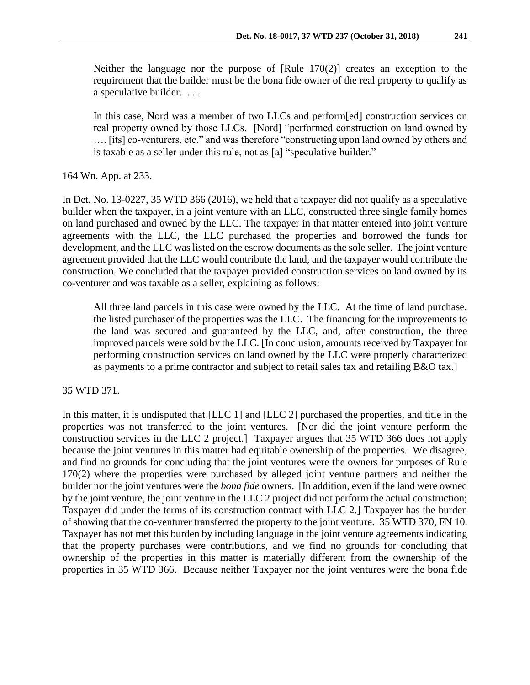Neither the language nor the purpose of [Rule 170(2)] creates an exception to the requirement that the builder must be the bona fide owner of the real property to qualify as a speculative builder. . . .

In this case, Nord was a member of two LLCs and perform[ed] construction services on real property owned by those LLCs. [Nord] "performed construction on land owned by …. [its] co-venturers, etc." and was therefore "constructing upon land owned by others and is taxable as a seller under this rule, not as [a] "speculative builder."

164 Wn. App. at 233.

In Det. No. 13-0227, 35 WTD 366 (2016), we held that a taxpayer did not qualify as a speculative builder when the taxpayer, in a joint venture with an LLC, constructed three single family homes on land purchased and owned by the LLC. The taxpayer in that matter entered into joint venture agreements with the LLC, the LLC purchased the properties and borrowed the funds for development, and the LLC was listed on the escrow documents as the sole seller. The joint venture agreement provided that the LLC would contribute the land, and the taxpayer would contribute the construction. We concluded that the taxpayer provided construction services on land owned by its co-venturer and was taxable as a seller, explaining as follows:

All three land parcels in this case were owned by the LLC. At the time of land purchase, the listed purchaser of the properties was the LLC. The financing for the improvements to the land was secured and guaranteed by the LLC, and, after construction, the three improved parcels were sold by the LLC. [In conclusion, amounts received by Taxpayer for performing construction services on land owned by the LLC were properly characterized as payments to a prime contractor and subject to retail sales tax and retailing B&O tax.]

35 WTD 371.

In this matter, it is undisputed that [LLC 1] and [LLC 2] purchased the properties, and title in the properties was not transferred to the joint ventures. [Nor did the joint venture perform the construction services in the LLC 2 project.] Taxpayer argues that 35 WTD 366 does not apply because the joint ventures in this matter had equitable ownership of the properties. We disagree, and find no grounds for concluding that the joint ventures were the owners for purposes of Rule 170(2) where the properties were purchased by alleged joint venture partners and neither the builder nor the joint ventures were the *bona fide* owners. [In addition, even if the land were owned by the joint venture, the joint venture in the LLC 2 project did not perform the actual construction; Taxpayer did under the terms of its construction contract with LLC 2.] Taxpayer has the burden of showing that the co-venturer transferred the property to the joint venture. 35 WTD 370, FN 10. Taxpayer has not met this burden by including language in the joint venture agreements indicating that the property purchases were contributions, and we find no grounds for concluding that ownership of the properties in this matter is materially different from the ownership of the properties in 35 WTD 366. Because neither Taxpayer nor the joint ventures were the bona fide